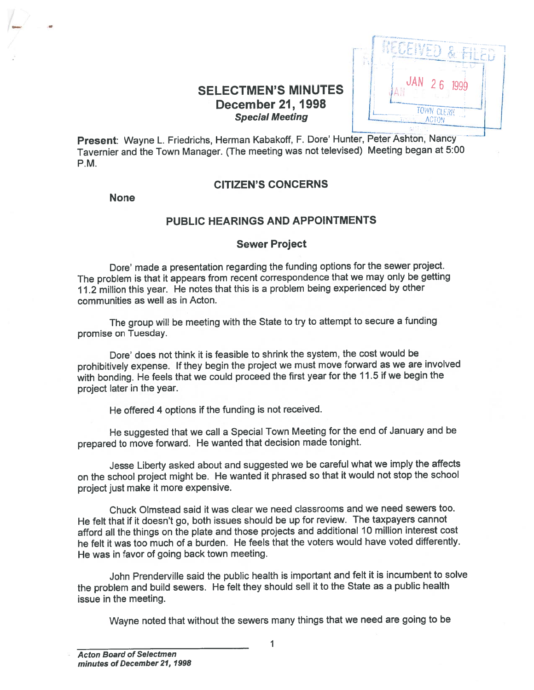# SELECTMEN'S MINUTES December 21, 1998 Special Meeting



Present: Wayne L. Friedrichs, Herman Kabakoff, F. Dore' Hunter, Peter Ashton, Nancy Tavernier and the Town Manager. (The meeting was not televised) Meeting began at 5:00 P.M.

# CITIZEN'S CONCERNS

None

# PUBLIC HEARINGS AND APPOINTMENTS

## Sewer Project

Dore' made <sup>a</sup> presentation regarding the funding options for the sewer project. The problem is that it appears from recent correspondence that we may only be getting 11.2 million this year. He notes that this is <sup>a</sup> problem being experienced by other communities as well as in Acton.

The group will be meeting with the State to try to attempt to secure <sup>a</sup> funding promise on Tuesday.

Dore' does not think it is feasible to shrink the system, the cost would be prohibitively expense. If they begin the project we must move forward as we are involved with bonding. He feels that we could procee<sup>d</sup> the first year for the 11.5 if we begin the project later in the year.

He offered <sup>4</sup> options if the funding is not received.

He suggested that we call <sup>a</sup> Special Town Meeting for the end of January and be prepare<sup>d</sup> to move forward. He wanted that decision made tonight.

Jesse Liberty asked about and suggested we be careful what we imply the affects on the school project might be. He wanted it <sup>p</sup>hrased so that it would not stop the school project just make it more expensive.

Chuck Olmstead said it was clear we need classrooms and we need sewers too. He felt that if it doesn't go, both issues should be up for review. The taxpayers cannot afford all the things on the <sup>p</sup>late and those projects and additional <sup>10</sup> million interest cost he felt it was too much of <sup>a</sup> burden. He feels that the voters would have voted differently. He was in favor of going back town meeting.

John Prenderville said the public health is important and felt it is incumbent to solve the problem and build sewers. He felt they should sell it to the State as <sup>a</sup> public health issue in the meeting.

Wayne noted that without the sewers many things that we need are going to be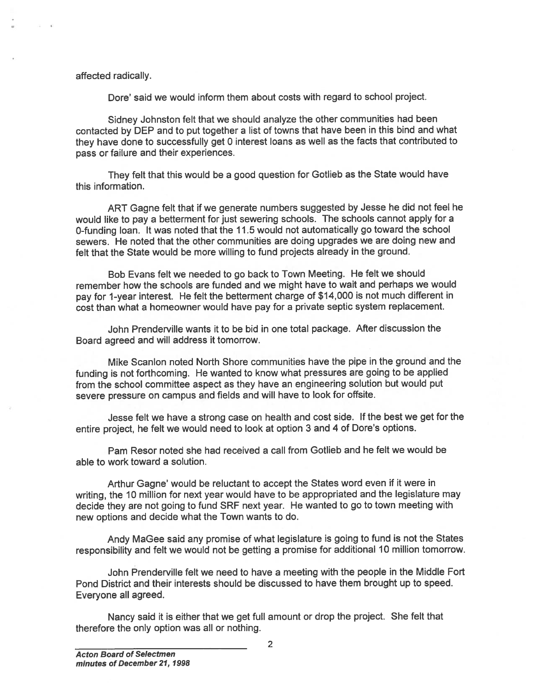#### affected radically.

Dore' said we would inform them about costs with regard to school project.

Sidney Johnston felt that we should analyze the other communities had been contacted by DEP and to pu<sup>t</sup> together <sup>a</sup> list of towns that have been in this bind and what they have done to successfully ge<sup>t</sup> <sup>0</sup> interest loans as well as the facts that contributed to pass or failure and their experiences.

They felt that this would be <sup>a</sup> goo<sup>d</sup> question for Gotlieb as the State would have this information.

ART Gagne felt that if we generate numbers suggested by Jesse he did not feel he would like to pay <sup>a</sup> betterment for just sewering schools. The schools cannot apply for <sup>a</sup> 0-funding loan. It was noted that the 11.5 would not automatically go toward the school sewers. He noted that the other communities are doing upgrades we are doing new and felt that the State would be more willing to fund projects already in the ground. affected radically.<br>
Dore' said we would inform them at<br>
contacted by DEP and to put together a list<br>
they have done to successfully get 0 intere<br>
pass or fallure and their experiences.<br>
They felt that this would be a good

Bob Evans felt we needed to go back to Town Meeting. He felt we should remember how the schools are funded and we might have to wait and perhaps we would pay for 1-year interest. He felt the betterment charge of \$14,000 is not much different in cost than what <sup>a</sup> homeowner would have pay for <sup>a</sup> private septic system replacement.

John Prenderville wants it to be bid in one total package. After discussion the Board agreed and will address it tomorrow.

Mike Scanlon noted North Shore communities have the pipe in the ground and the funding is not forthcoming. He wanted to know what pressures are going to be applied from the school committee aspec<sup>t</sup> as they have an engineering solution but would pu<sup>t</sup> severe pressure on campus and fields and will have to look for offsite.

Jesse felt we have <sup>a</sup> strong case on health and cost side. If the best we ge<sup>t</sup> for the entire project, he felt we would need to look at option <sup>3</sup> and <sup>4</sup> of Dore's options.

Pam Resor noted she had received <sup>a</sup> call from Gotlieb and he felt we would be able to work toward <sup>a</sup> solution.

Arthur Gagne' would be reluctant to accep<sup>t</sup> the States word even if it were in writing, the <sup>10</sup> million for next year would have to be appropriated and the legislature may decide they are not going to fund SRF next year. He wanted to go to town meeting with new options and decide what the Town wants to do.

Andy MaGee said any promise of what legislature is going to fund is not the States responsibility and felt we would not be getting <sup>a</sup> promise for additional <sup>10</sup> million tomorrow.

John Prenderville felt we need to have <sup>a</sup> meeting with the people in the Middle Fort Pond District and their interests should be discussed to have them brought up to speed. Everyone all agreed.

Nancy said it is either that we ge<sup>t</sup> full amount or drop the project. She felt that